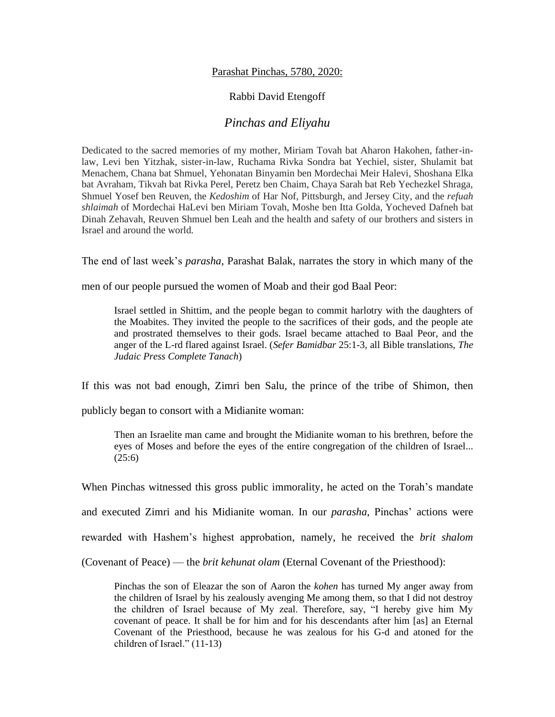## Parashat Pinchas, 5780, 2020:

## Rabbi David Etengoff

## *Pinchas and Eliyahu*

Dedicated to the sacred memories of my mother, Miriam Tovah bat Aharon Hakohen, father-inlaw, Levi ben Yitzhak, sister-in-law, Ruchama Rivka Sondra bat Yechiel, sister, Shulamit bat Menachem, Chana bat Shmuel, Yehonatan Binyamin ben Mordechai Meir Halevi, Shoshana Elka bat Avraham, Tikvah bat Rivka Perel, Peretz ben Chaim, Chaya Sarah bat Reb Yechezkel Shraga, Shmuel Yosef ben Reuven, the *Kedoshim* of Har Nof, Pittsburgh, and Jersey City, and the *refuah shlaimah* of Mordechai HaLevi ben Miriam Tovah, Moshe ben Itta Golda, Yocheved Dafneh bat Dinah Zehavah, Reuven Shmuel ben Leah and the health and safety of our brothers and sisters in Israel and around the world.

The end of last week's *parasha*, Parashat Balak, narrates the story in which many of the

men of our people pursued the women of Moab and their god Baal Peor:

Israel settled in Shittim, and the people began to commit harlotry with the daughters of the Moabites. They invited the people to the sacrifices of their gods, and the people ate and prostrated themselves to their gods. Israel became attached to Baal Peor, and the anger of the L-rd flared against Israel. (*Sefer Bamidbar* 25:1-3, all Bible translations, *The Judaic Press Complete Tanach*)

If this was not bad enough, Zimri ben Salu, the prince of the tribe of Shimon, then

publicly began to consort with a Midianite woman:

Then an Israelite man came and brought the Midianite woman to his brethren, before the eyes of Moses and before the eyes of the entire congregation of the children of Israel...  $(25:6)$ 

When Pinchas witnessed this gross public immorality, he acted on the Torah's mandate

and executed Zimri and his Midianite woman. In our *parasha*, Pinchas' actions were

rewarded with Hashem's highest approbation, namely, he received the *brit shalom* 

(Covenant of Peace) — the *brit kehunat olam* (Eternal Covenant of the Priesthood):

Pinchas the son of Eleazar the son of Aaron the *kohen* has turned My anger away from the children of Israel by his zealously avenging Me among them, so that I did not destroy the children of Israel because of My zeal. Therefore, say, "I hereby give him My covenant of peace. It shall be for him and for his descendants after him [as] an Eternal Covenant of the Priesthood, because he was zealous for his G-d and atoned for the children of Israel." (11-13)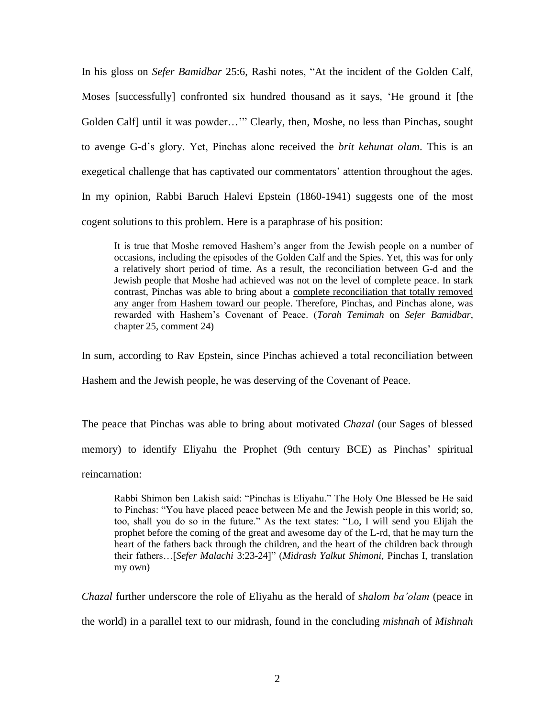In his gloss on *Sefer Bamidbar* 25:6, Rashi notes, "At the incident of the Golden Calf, Moses [successfully] confronted six hundred thousand as it says, 'He ground it [the Golden Calf] until it was powder…'" Clearly, then, Moshe, no less than Pinchas, sought to avenge G-d's glory. Yet, Pinchas alone received the *brit kehunat olam*. This is an exegetical challenge that has captivated our commentators' attention throughout the ages. In my opinion, Rabbi Baruch Halevi Epstein (1860-1941) suggests one of the most cogent solutions to this problem. Here is a paraphrase of his position:

It is true that Moshe removed Hashem's anger from the Jewish people on a number of occasions, including the episodes of the Golden Calf and the Spies. Yet, this was for only a relatively short period of time. As a result, the reconciliation between G-d and the Jewish people that Moshe had achieved was not on the level of complete peace. In stark contrast, Pinchas was able to bring about a complete reconciliation that totally removed any anger from Hashem toward our people. Therefore, Pinchas, and Pinchas alone, was rewarded with Hashem's Covenant of Peace. (*Torah Temimah* on *Sefer Bamidbar*, chapter 25, comment 24)

In sum, according to Rav Epstein, since Pinchas achieved a total reconciliation between

Hashem and the Jewish people, he was deserving of the Covenant of Peace.

The peace that Pinchas was able to bring about motivated *Chazal* (our Sages of blessed memory) to identify Eliyahu the Prophet (9th century BCE) as Pinchas' spiritual reincarnation:

Rabbi Shimon ben Lakish said: "Pinchas is Eliyahu." The Holy One Blessed be He said to Pinchas: "You have placed peace between Me and the Jewish people in this world; so, too, shall you do so in the future." As the text states: "Lo, I will send you Elijah the prophet before the coming of the great and awesome day of the L-rd, that he may turn the heart of the fathers back through the children, and the heart of the children back through their fathers…[*Sefer Malachi* 3:23-24]" (*Midrash Yalkut Shimoni*, Pinchas I, translation my own)

*Chazal* further underscore the role of Eliyahu as the herald of *shalom ba'olam* (peace in the world) in a parallel text to our midrash, found in the concluding *mishnah* of *Mishnah*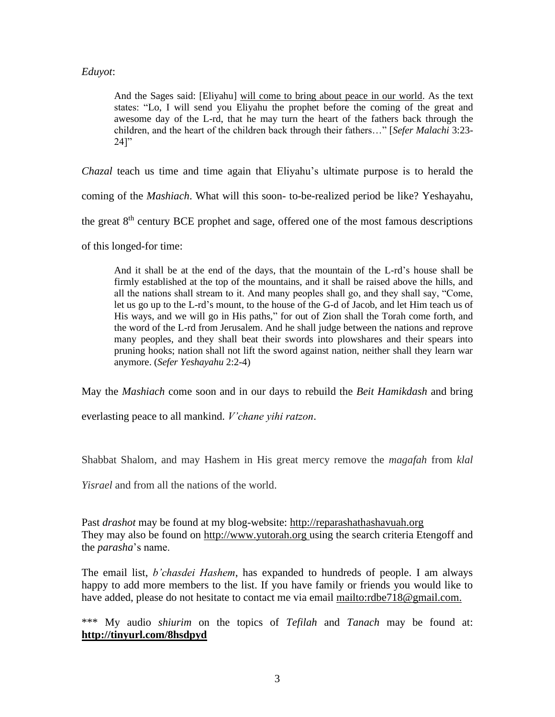## *Eduyot*:

And the Sages said: [Eliyahu] will come to bring about peace in our world. As the text states: "Lo, I will send you Eliyahu the prophet before the coming of the great and awesome day of the L-rd, that he may turn the heart of the fathers back through the children, and the heart of the children back through their fathers…" [*Sefer Malachi* 3:23-  $24$ ]"

*Chazal* teach us time and time again that Eliyahu's ultimate purpose is to herald the

coming of the *Mashiach*. What will this soon- to-be-realized period be like? Yeshayahu,

the great 8th century BCE prophet and sage, offered one of the most famous descriptions

of this longed-for time:

And it shall be at the end of the days, that the mountain of the L-rd's house shall be firmly established at the top of the mountains, and it shall be raised above the hills, and all the nations shall stream to it. And many peoples shall go, and they shall say, "Come, let us go up to the L-rd's mount, to the house of the G-d of Jacob, and let Him teach us of His ways, and we will go in His paths," for out of Zion shall the Torah come forth, and the word of the L-rd from Jerusalem. And he shall judge between the nations and reprove many peoples, and they shall beat their swords into plowshares and their spears into pruning hooks; nation shall not lift the sword against nation, neither shall they learn war anymore. (*Sefer Yeshayahu* 2:2-4)

May the *Mashiach* come soon and in our days to rebuild the *Beit Hamikdash* and bring

everlasting peace to all mankind. *V'chane yihi ratzon*.

Shabbat Shalom, and may Hashem in His great mercy remove the *magafah* from *klal* 

*Yisrael* and from all the nations of the world.

Past *drashot* may be found at my blog-website: [http://reparashathashavuah.org](http://reparashathashavuah.org/) They may also be found on [http://www.yutorah.org](http://www.yutorah.org/) using the search criteria Etengoff and the *parasha*'s name.

The email list, *b'chasdei Hashem*, has expanded to hundreds of people. I am always happy to add more members to the list. If you have family or friends you would like to have added, please do not hesitate to contact me via email [mailto:rdbe718@gmail.com.](mailto:rdbe718@gmail.com)

\*\*\* My audio *shiurim* on the topics of *Tefilah* and *Tanach* may be found at: **<http://tinyurl.com/8hsdpyd>**